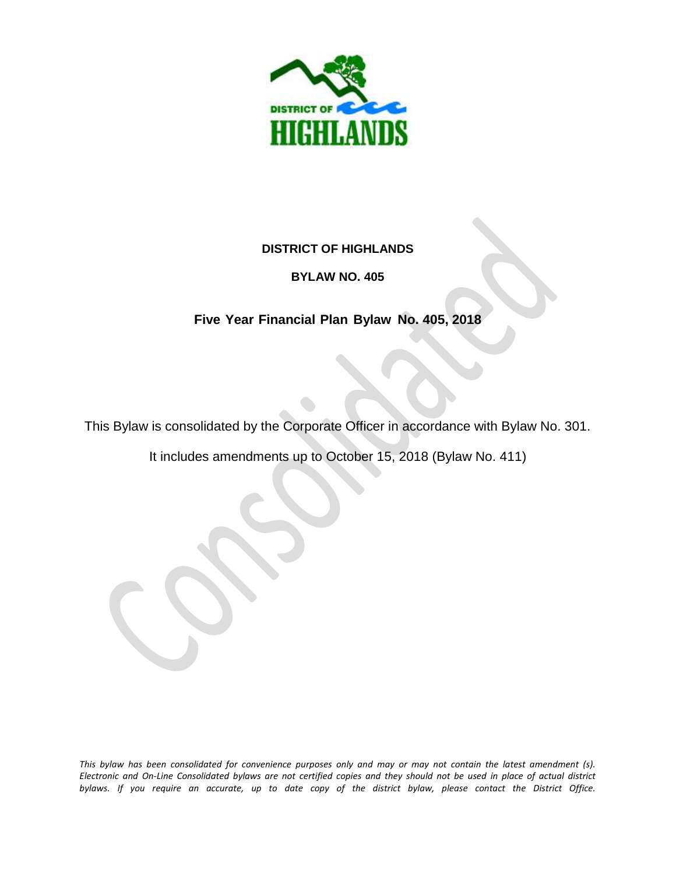

#### **DISTRICT OF HIGHLANDS**

#### **BYLAW NO. 405**

# **Five Year Financial Plan Bylaw No. 405, 2018**

This Bylaw is consolidated by the Corporate Officer in accordance with Bylaw No. 301.

It includes amendments up to October 15, 2018 (Bylaw No. 411)

*This bylaw has been consolidated for convenience purposes only and may or may not contain the latest amendment (s). Electronic and On-Line Consolidated bylaws are not certified copies and they should not be used in place of actual district bylaws. If you require an accurate, up to date copy of the district bylaw, please contact the District Office.*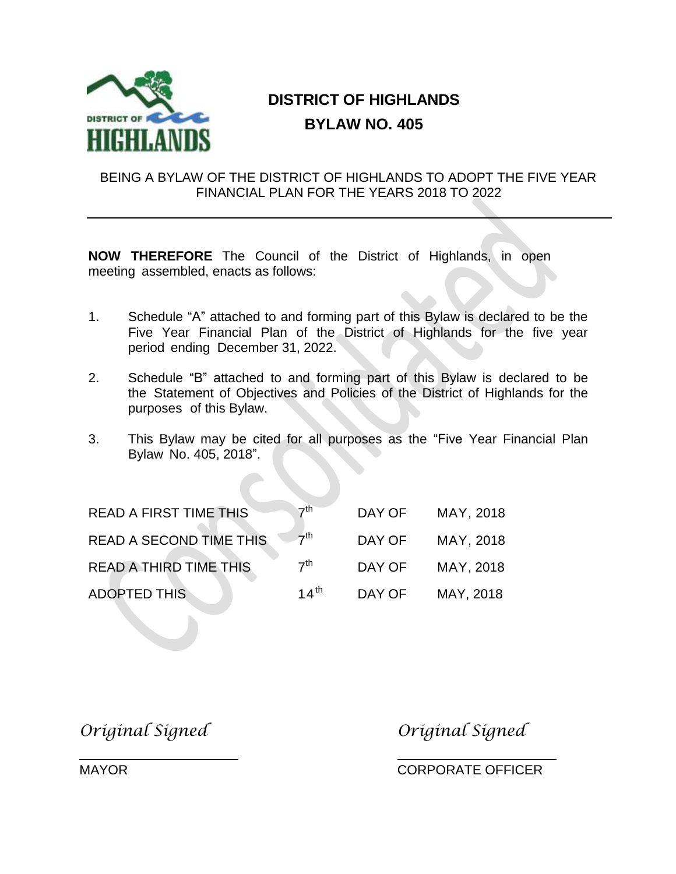

# **DISTRICT OF HIGHLANDS BYLAW NO. 405**

#### BEING A BYLAW OF THE DISTRICT OF HIGHLANDS TO ADOPT THE FIVE YEAR FINANCIAL PLAN FOR THE YEARS 2018 TO 2022

**NOW THEREFORE** The Council of the District of Highlands, in open meeting assembled, enacts as follows:

- 1. Schedule "A" attached to and forming part of this Bylaw is declared to be the Five Year Financial Plan of the District of Highlands for the five year period ending December 31, 2022.
- 2. Schedule "B" attached to and forming part of this Bylaw is declared to be the Statement of Objectives and Policies of the District of Highlands for the purposes of this Bylaw.
- 3. This Bylaw may be cited for all purposes as the "Five Year Financial Plan Bylaw No. 405, 2018".

| <b>READ A FIRST TIME THIS</b>  | $\nabla$ <sup>th</sup> | DAY OF | MAY, 2018 |
|--------------------------------|------------------------|--------|-----------|
| <b>READ A SECOND TIME THIS</b> | $-7$ <sup>th</sup>     | DAY OF | MAY, 2018 |
| <b>READ A THIRD TIME THIS</b>  | 7 <sup>th</sup>        | DAY OF | MAY, 2018 |
| <b>ADOPTED THIS</b>            | 14 <sup>th</sup>       | DAY OF | MAY, 2018 |

*Original Signed Original Signed*

MAYOR CORPORATE OFFICER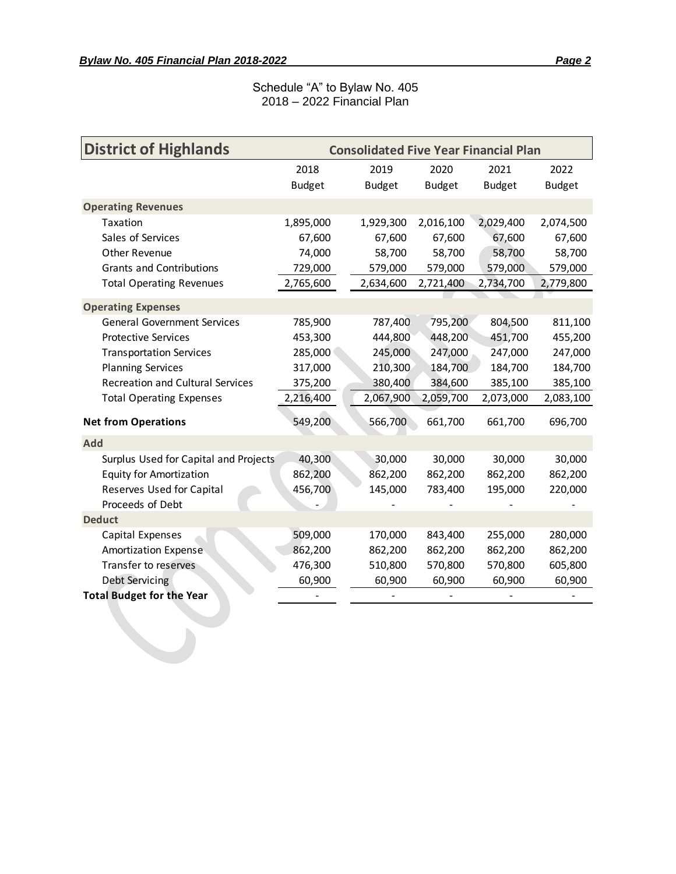#### Schedule "A" to Bylaw No. 405 2018 – 2022 Financial Plan

| <b>District of Highlands</b>            | <b>Consolidated Five Year Financial Plan</b> |  |               |               |               |               |
|-----------------------------------------|----------------------------------------------|--|---------------|---------------|---------------|---------------|
|                                         | 2018                                         |  | 2019          | 2020          | 2021          | 2022          |
|                                         | <b>Budget</b>                                |  | <b>Budget</b> | <b>Budget</b> | <b>Budget</b> | <b>Budget</b> |
| <b>Operating Revenues</b>               |                                              |  |               |               |               |               |
| Taxation                                | 1,895,000                                    |  | 1,929,300     | 2,016,100     | 2,029,400     | 2,074,500     |
| Sales of Services                       | 67,600                                       |  | 67,600        | 67,600        | 67,600        | 67,600        |
| Other Revenue                           | 74,000                                       |  | 58,700        | 58,700        | 58,700        | 58,700        |
| <b>Grants and Contributions</b>         | 729,000                                      |  | 579,000       | 579,000       | 579,000       | 579,000       |
| <b>Total Operating Revenues</b>         | 2,765,600                                    |  | 2,634,600     | 2,721,400     | 2,734,700     | 2,779,800     |
| <b>Operating Expenses</b>               |                                              |  |               |               |               |               |
| <b>General Government Services</b>      | 785,900                                      |  | 787,400       | 795,200       | 804,500       | 811,100       |
| <b>Protective Services</b>              | 453,300                                      |  | 444,800       | 448,200       | 451,700       | 455,200       |
| <b>Transportation Services</b>          | 285,000                                      |  | 245,000       | 247,000       | 247,000       | 247,000       |
| <b>Planning Services</b>                | 317,000                                      |  | 210,300       | 184,700       | 184,700       | 184,700       |
| <b>Recreation and Cultural Services</b> | 375,200                                      |  | 380,400       | 384,600       | 385,100       | 385,100       |
| <b>Total Operating Expenses</b>         | 2,216,400                                    |  | 2,067,900     | 2,059,700     | 2,073,000     | 2,083,100     |
| <b>Net from Operations</b>              | 549,200                                      |  | 566,700       | 661,700       | 661,700       | 696,700       |
| <b>Add</b>                              |                                              |  |               |               |               |               |
| Surplus Used for Capital and Projects   | 40,300                                       |  | 30,000        | 30,000        | 30,000        | 30,000        |
| <b>Equity for Amortization</b>          | 862,200                                      |  | 862,200       | 862,200       | 862,200       | 862,200       |
| Reserves Used for Capital               | 456,700                                      |  | 145,000       | 783,400       | 195,000       | 220,000       |
| Proceeds of Debt                        |                                              |  |               |               |               |               |
| <b>Deduct</b>                           |                                              |  |               |               |               |               |
| Capital Expenses                        | 509,000                                      |  | 170,000       | 843,400       | 255,000       | 280,000       |
| <b>Amortization Expense</b>             | 862,200                                      |  | 862,200       | 862,200       | 862,200       | 862,200       |
| Transfer to reserves                    | 476,300                                      |  | 510,800       | 570,800       | 570,800       | 605,800       |
| <b>Debt Servicing</b>                   | 60,900                                       |  | 60,900        | 60,900        | 60,900        | 60,900        |
| <b>Total Budget for the Year</b>        |                                              |  |               |               |               |               |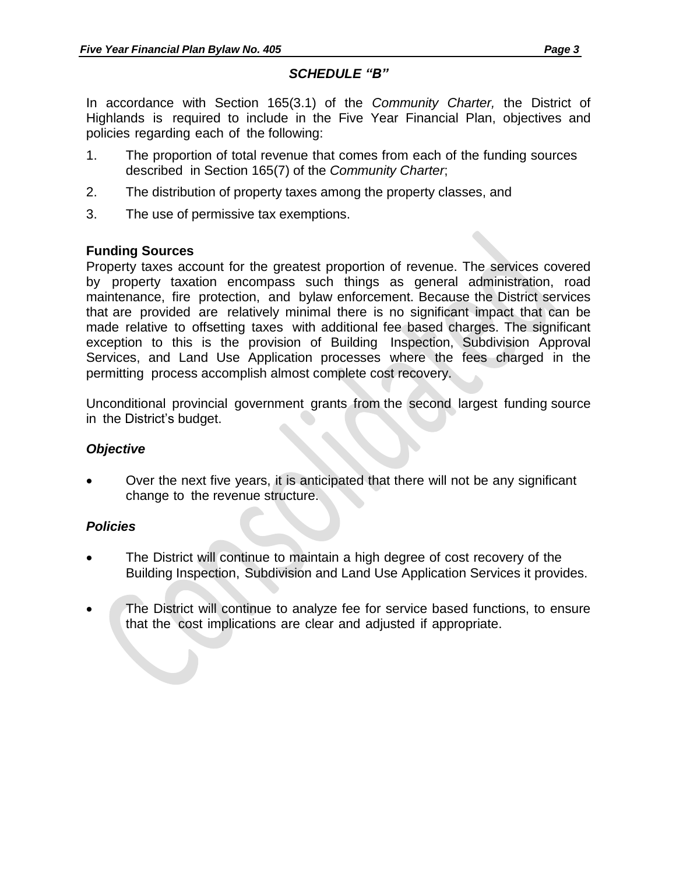# *SCHEDULE "B"*

In accordance with Section 165(3.1) of the *Community Charter,* the District of Highlands is required to include in the Five Year Financial Plan, objectives and policies regarding each of the following:

- 1. The proportion of total revenue that comes from each of the funding sources described in Section 165(7) of the *Community Charter*;
- 2. The distribution of property taxes among the property classes, and
- 3. The use of permissive tax exemptions.

#### **Funding Sources**

Property taxes account for the greatest proportion of revenue. The services covered by property taxation encompass such things as general administration, road maintenance, fire protection, and bylaw enforcement. Because the District services that are provided are relatively minimal there is no significant impact that can be made relative to offsetting taxes with additional fee based charges. The significant exception to this is the provision of Building Inspection, Subdivision Approval Services, and Land Use Application processes where the fees charged in the permitting process accomplish almost complete cost recovery.

Unconditional provincial government grants from the second largest funding source in the District's budget.

# *Objective*

 Over the next five years, it is anticipated that there will not be any significant change to the revenue structure.

# *Policies*

- The District will continue to maintain a high degree of cost recovery of the Building Inspection, Subdivision and Land Use Application Services it provides.
- The District will continue to analyze fee for service based functions, to ensure that the cost implications are clear and adjusted if appropriate.